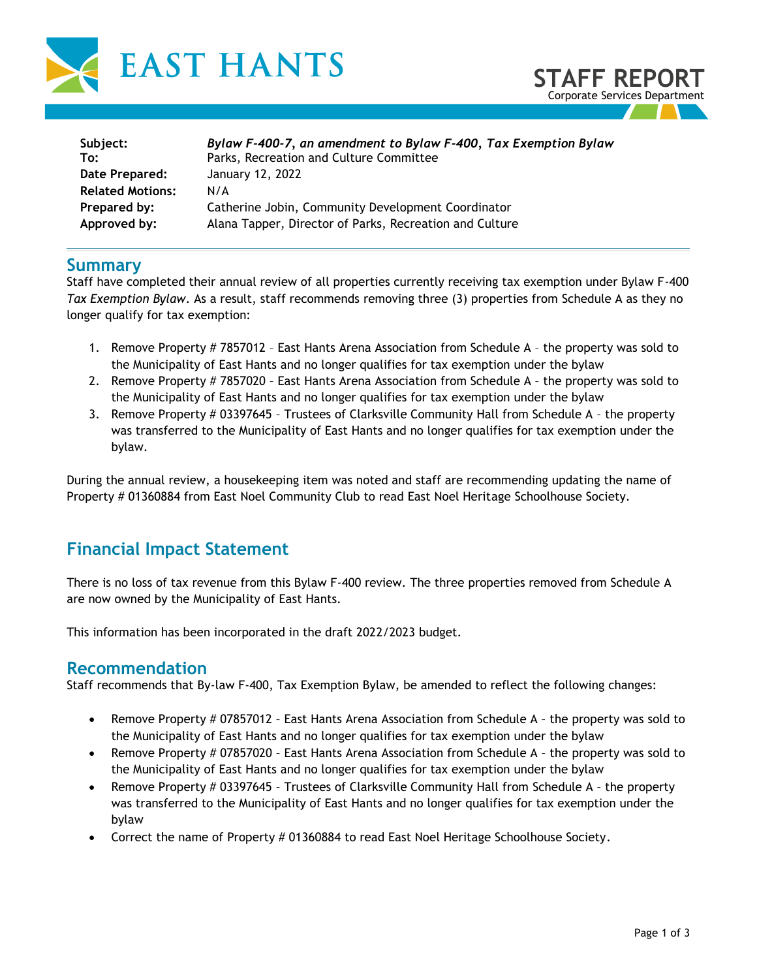



| Subject:                | Bylaw F-400-7, an amendment to Bylaw F-400, Tax Exemption Bylaw |
|-------------------------|-----------------------------------------------------------------|
| To:                     | Parks, Recreation and Culture Committee                         |
| Date Prepared:          | January 12, 2022                                                |
| <b>Related Motions:</b> | N/A                                                             |
| Prepared by:            | Catherine Jobin, Community Development Coordinator              |
| Approved by:            | Alana Tapper, Director of Parks, Recreation and Culture         |

### **Summary**

Staff have completed their annual review of all properties currently receiving tax exemption under Bylaw F-400 *Tax Exemption Bylaw*. As a result, staff recommends removing three (3) properties from Schedule A as they no longer qualify for tax exemption:

- 1. Remove Property # 7857012 East Hants Arena Association from Schedule A the property was sold to the Municipality of East Hants and no longer qualifies for tax exemption under the bylaw
- 2. Remove Property # 7857020 East Hants Arena Association from Schedule A the property was sold to the Municipality of East Hants and no longer qualifies for tax exemption under the bylaw
- 3. Remove Property # 03397645 Trustees of Clarksville Community Hall from Schedule A the property was transferred to the Municipality of East Hants and no longer qualifies for tax exemption under the bylaw.

During the annual review, a housekeeping item was noted and staff are recommending updating the name of Property # 01360884 from East Noel Community Club to read East Noel Heritage Schoolhouse Society.

# **Financial Impact Statement**

There is no loss of tax revenue from this Bylaw F-400 review. The three properties removed from Schedule A are now owned by the Municipality of East Hants.

This information has been incorporated in the draft 2022/2023 budget.

## **Recommendation**

Staff recommends that By-law F-400, Tax Exemption Bylaw, be amended to reflect the following changes:

- Remove Property # 07857012 East Hants Arena Association from Schedule A the property was sold to the Municipality of East Hants and no longer qualifies for tax exemption under the bylaw
- Remove Property # 07857020 East Hants Arena Association from Schedule A the property was sold to the Municipality of East Hants and no longer qualifies for tax exemption under the bylaw
- Remove Property # 03397645 Trustees of Clarksville Community Hall from Schedule A the property was transferred to the Municipality of East Hants and no longer qualifies for tax exemption under the bylaw
- Correct the name of Property # 01360884 to read East Noel Heritage Schoolhouse Society.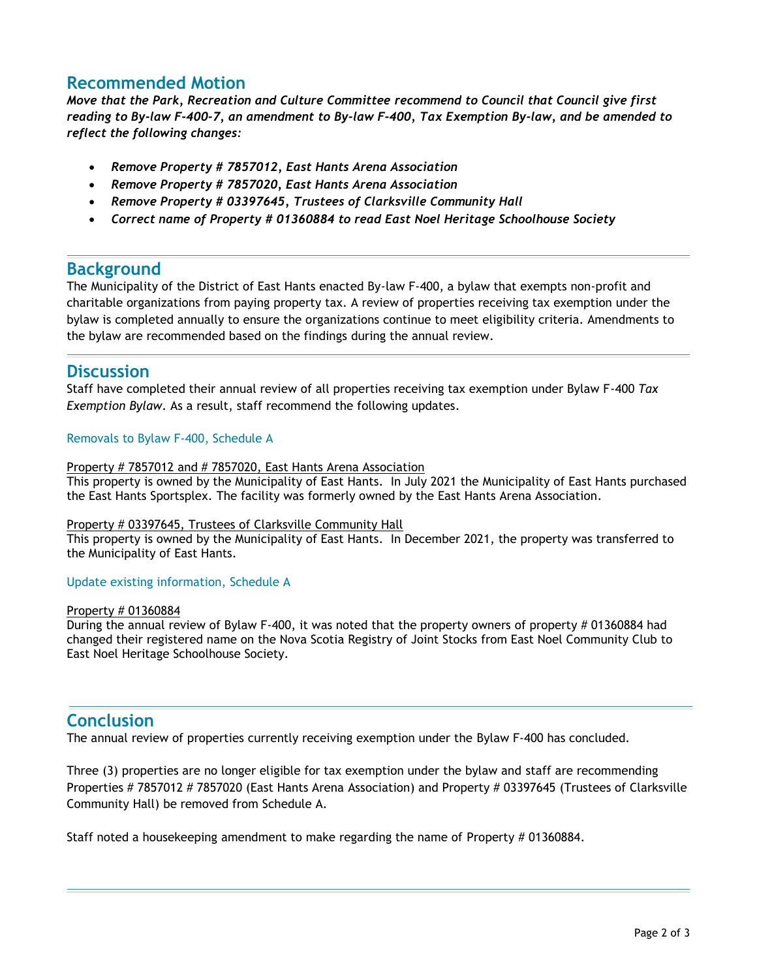## **Recommended Motion**

*Move that the Park, Recreation and Culture Committee recommend to Council that Council give first reading to By-law F-400-7, an amendment to By-law F-400, Tax Exemption By-law, and be amended to reflect the following changes:* 

- *Remove Property # 7857012, East Hants Arena Association*
- *Remove Property # 7857020, East Hants Arena Association*
- *Remove Property # 03397645, Trustees of Clarksville Community Hall*
- *Correct name of Property # 01360884 to read East Noel Heritage Schoolhouse Society*

## **Background**

The Municipality of the District of East Hants enacted By-law F-400, a bylaw that exempts non-profit and charitable organizations from paying property tax. A review of properties receiving tax exemption under the bylaw is completed annually to ensure the organizations continue to meet eligibility criteria. Amendments to the bylaw are recommended based on the findings during the annual review.

## **Discussion**

Staff have completed their annual review of all properties receiving tax exemption under Bylaw F-400 *Tax Exemption Bylaw*. As a result, staff recommend the following updates.

#### Removals to Bylaw F-400, Schedule A

#### Property # 7857012 and # 7857020, East Hants Arena Association

This property is owned by the Municipality of East Hants. In July 2021 the Municipality of East Hants purchased the East Hants Sportsplex. The facility was formerly owned by the East Hants Arena Association.

#### Property # 03397645, Trustees of Clarksville Community Hall

This property is owned by the Municipality of East Hants. In December 2021, the property was transferred to the Municipality of East Hants.

#### Update existing information, Schedule A

#### Property # 01360884

During the annual review of Bylaw F-400, it was noted that the property owners of property # 01360884 had changed their registered name on the Nova Scotia Registry of Joint Stocks from East Noel Community Club to East Noel Heritage Schoolhouse Society.

## **Conclusion**

The annual review of properties currently receiving exemption under the Bylaw F-400 has concluded.

Three (3) properties are no longer eligible for tax exemption under the bylaw and staff are recommending Properties # 7857012 # 7857020 (East Hants Arena Association) and Property # 03397645 (Trustees of Clarksville Community Hall) be removed from Schedule A.

Staff noted a housekeeping amendment to make regarding the name of Property # 01360884.